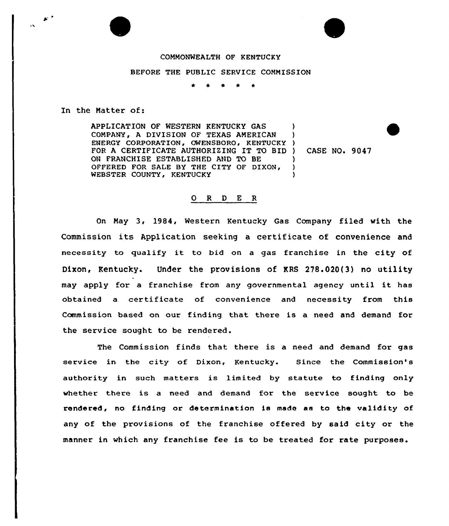## COMMONWEALTH OF KENTUCKY

## BEFORE THE PUBLIC SERVICE COMMISSION

\* <sup>4</sup> \* \*

In the Natter of:

 $\mathcal{F}$ 

APPLICATION OF WESTERN KENTUCKY GAS COMPANY, A DIVISION OF TEXAS AMERICAN ) ENERGY CORPORATION, OWENSBORO, KENTUCKY ) FOR A CERTIFICATE AUTHORIZING IT TO BID ) CASE NO. 9047 ON FRANCHISE ESTABLISHED AND TO BE )<br>OFFERED FOR SALE BY THE CITY OF DIXON. ) OFFERED FOR SALE BY THE CITY QF DIXON' WEBSTER COUNTY, KENTUCKY

## O R D E R

On May 3, 1984, Western Kentucky Gas Company filed with the Commission its Application seeking <sup>a</sup> certificate of convenience and necessity to qualify it to bid on <sup>a</sup> gas franchise in the city of Dixon, Kentucky. Under the provisions of KRS 278.020(3) no utility may apply for <sup>a</sup> franchise from any governmental agency until it has obtained a certificate of convenience and necessity from this Commission based on our finding that there is a need and demand for the service sought to be rendered.

The Commission finds that there is a need and demand for gas service in the city of Dixon, Kentucky. Since the Commission's authority in such matters is limited by statute to finding only whether there is a need and demand for the service sought to be rendered, no finding or determination is made as to the validity of any of the provisions of the franchise offered by said city or the manner in which any franchise fee is to be treated for rate purposes.